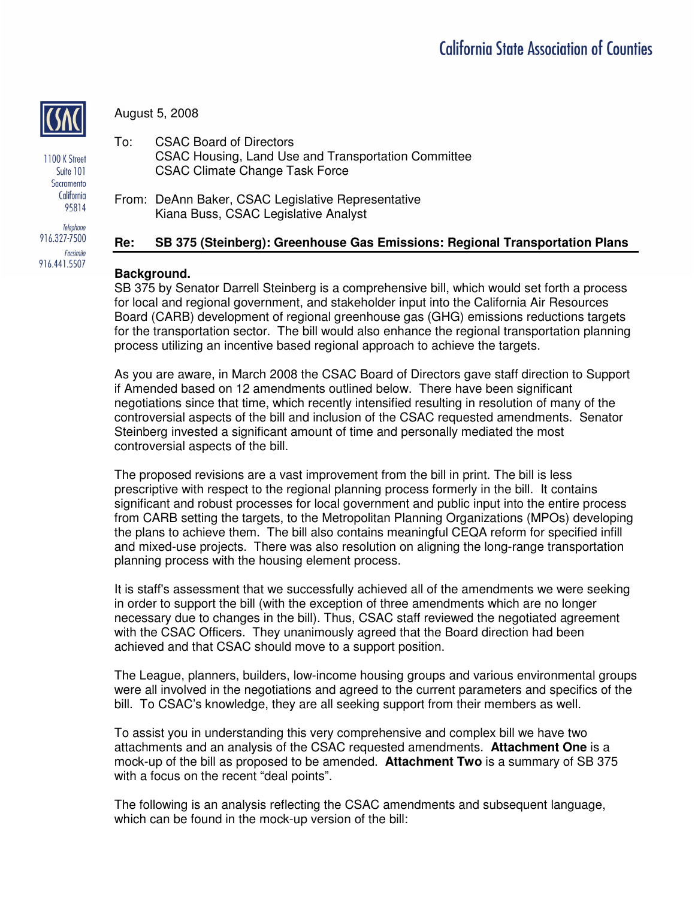

August 5, 2008

1100 K Street Suite 101 Sacramento California 95814

Telephone 916.327-7500 Facsimile 916.441.5507

To: CSAC Board of Directors CSAC Housing, Land Use and Transportation Committee CSAC Climate Change Task Force

From: DeAnn Baker, CSAC Legislative Representative Kiana Buss, CSAC Legislative Analyst

# **Re: SB 375 (Steinberg): Greenhouse Gas Emissions: Regional Transportation Plans**

## **Background.**

SB 375 by Senator Darrell Steinberg is a comprehensive bill, which would set forth a process for local and regional government, and stakeholder input into the California Air Resources Board (CARB) development of regional greenhouse gas (GHG) emissions reductions targets for the transportation sector. The bill would also enhance the regional transportation planning process utilizing an incentive based regional approach to achieve the targets.

As you are aware, in March 2008 the CSAC Board of Directors gave staff direction to Support if Amended based on 12 amendments outlined below. There have been significant negotiations since that time, which recently intensified resulting in resolution of many of the controversial aspects of the bill and inclusion of the CSAC requested amendments. Senator Steinberg invested a significant amount of time and personally mediated the most controversial aspects of the bill.

The proposed revisions are a vast improvement from the bill in print. The bill is less prescriptive with respect to the regional planning process formerly in the bill. It contains significant and robust processes for local government and public input into the entire process from CARB setting the targets, to the Metropolitan Planning Organizations (MPOs) developing the plans to achieve them. The bill also contains meaningful CEQA reform for specified infill and mixed-use projects. There was also resolution on aligning the long-range transportation planning process with the housing element process.

It is staff's assessment that we successfully achieved all of the amendments we were seeking in order to support the bill (with the exception of three amendments which are no longer necessary due to changes in the bill). Thus, CSAC staff reviewed the negotiated agreement with the CSAC Officers. They unanimously agreed that the Board direction had been achieved and that CSAC should move to a support position.

The League, planners, builders, low-income housing groups and various environmental groups were all involved in the negotiations and agreed to the current parameters and specifics of the bill. To CSAC's knowledge, they are all seeking support from their members as well.

To assist you in understanding this very comprehensive and complex bill we have two attachments and an analysis of the CSAC requested amendments. **Attachment One** is a mock-up of the bill as proposed to be amended. **Attachment Two** is a summary of SB 375 with a focus on the recent "deal points".

The following is an analysis reflecting the CSAC amendments and subsequent language, which can be found in the mock-up version of the bill: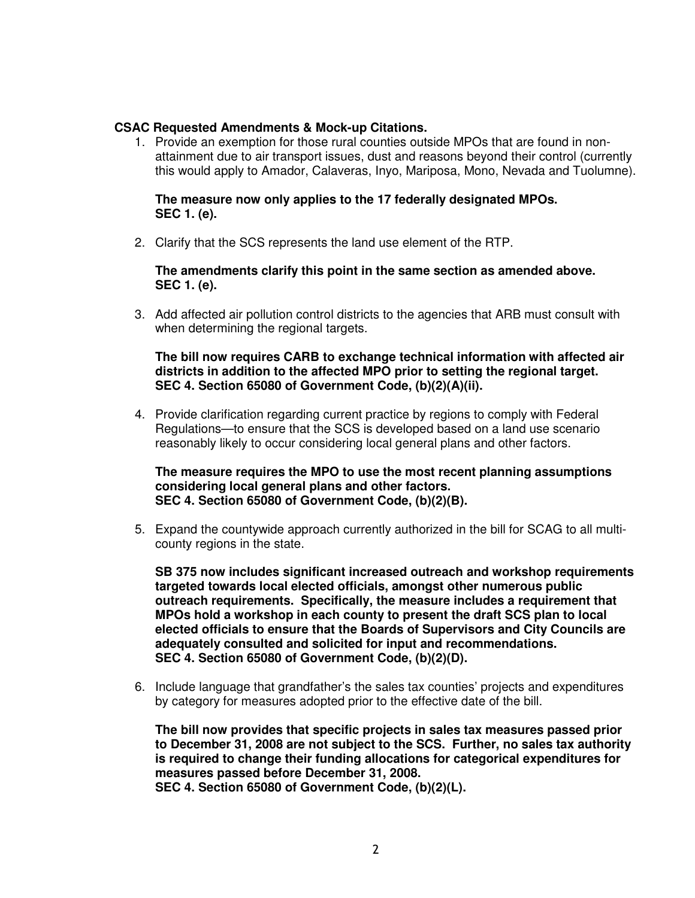#### **CSAC Requested Amendments & Mock-up Citations.**

1. Provide an exemption for those rural counties outside MPOs that are found in nonattainment due to air transport issues, dust and reasons beyond their control (currently this would apply to Amador, Calaveras, Inyo, Mariposa, Mono, Nevada and Tuolumne).

#### **The measure now only applies to the 17 federally designated MPOs. SEC 1. (e).**

2. Clarify that the SCS represents the land use element of the RTP.

#### **The amendments clarify this point in the same section as amended above. SEC 1. (e).**

3. Add affected air pollution control districts to the agencies that ARB must consult with when determining the regional targets.

#### **The bill now requires CARB to exchange technical information with affected air districts in addition to the affected MPO prior to setting the regional target. SEC 4. Section 65080 of Government Code, (b)(2)(A)(ii).**

4. Provide clarification regarding current practice by regions to comply with Federal Regulations—to ensure that the SCS is developed based on a land use scenario reasonably likely to occur considering local general plans and other factors.

## **The measure requires the MPO to use the most recent planning assumptions considering local general plans and other factors. SEC 4. Section 65080 of Government Code, (b)(2)(B).**

5. Expand the countywide approach currently authorized in the bill for SCAG to all multicounty regions in the state.

**SB 375 now includes significant increased outreach and workshop requirements targeted towards local elected officials, amongst other numerous public outreach requirements. Specifically, the measure includes a requirement that MPOs hold a workshop in each county to present the draft SCS plan to local elected officials to ensure that the Boards of Supervisors and City Councils are adequately consulted and solicited for input and recommendations. SEC 4. Section 65080 of Government Code, (b)(2)(D).**

6. Include language that grandfather's the sales tax counties' projects and expenditures by category for measures adopted prior to the effective date of the bill.

**The bill now provides that specific projects in sales tax measures passed prior to December 31, 2008 are not subject to the SCS. Further, no sales tax authority is required to change their funding allocations for categorical expenditures for measures passed before December 31, 2008. SEC 4. Section 65080 of Government Code, (b)(2)(L).**